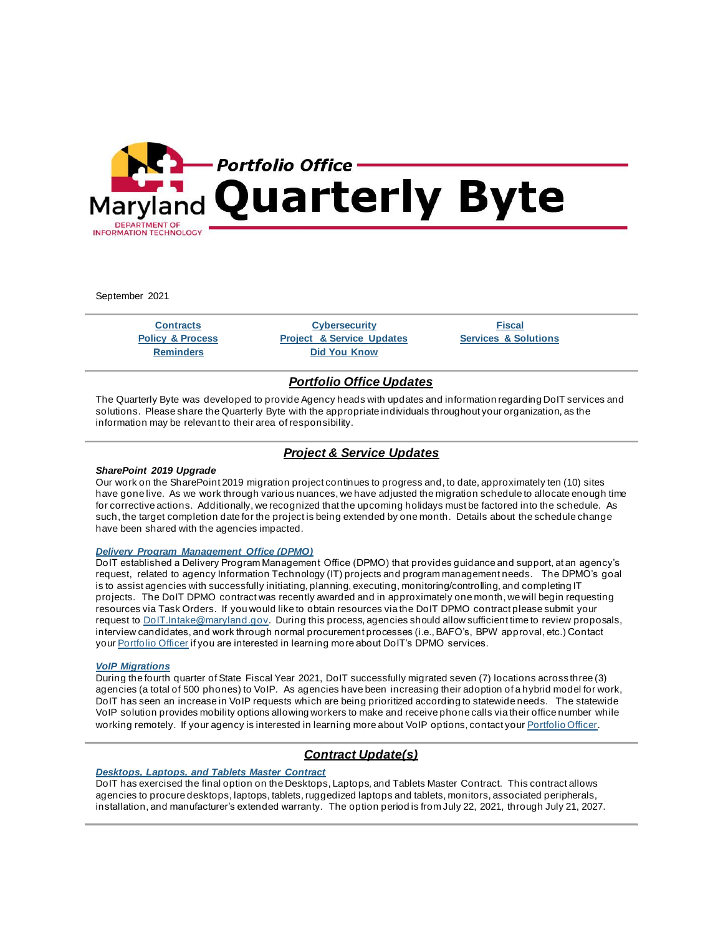

September 2021

**[Contracts](https://mail.google.com/mail/u/0/#m_5673109348924690925_ContractUpdates) [Cybersecurity](https://mail.google.com/mail/u/0/#m_5673109348924690925_ITSecurity) [Fiscal](https://mail.google.com/mail/u/0/#m_5673109348924690925_Fiscal) [Policy & Process](https://mail.google.com/mail/u/0/#m_5673109348924690925_Policy-Process) Project [& Service Updates](https://mail.google.com/mail/u/0/#m_5673109348924690925_Projects-Services-Updates) [Services & Solutions](https://mail.google.com/mail/u/0/#m_5673109348924690925_Services-Solutions) [Reminders](https://mail.google.com/mail/u/0/#m_5673109348924690925_Reminders) [Did You Know](https://mail.google.com/mail/u/0/#m_5673109348924690925_DidYouKnow)**

# *Portfolio Office Updates*

The Quarterly Byte was developed to provide Agency heads with updates and information regarding DoIT services and solutions. Please share the Quarterly Byte with the appropriate individuals throughout your organization, as the information may be relevant to their area of responsibility.

# *Project & Service Updates*

#### *SharePoint 2019 Upgrade*

Our work on the SharePoint 2019 migration project continues to progress and, to date, approximately ten (10) sites have gone live. As we work through various nuances, we have adjusted the migration schedule to allocate enough time for corrective actions. Additionally, we recognized that the upcoming holidays must be factored into the schedule. As such, the target completion date for the project is being extended by one month. Details about the schedule change have been shared with the agencies impacted.

#### *[Delivery Program Management Office \(DPMO\)](https://lnks.gd/l/eyJhbGciOiJIUzI1NiJ9.eyJidWxsZXRpbl9saW5rX2lkIjoxMDAsInVyaSI6ImJwMjpjbGljayIsImJ1bGxldGluX2lkIjoiMjAyMTA5MjkuNDY2NDk3OTEiLCJ1cmwiOiJodHRwczovL2RvaXQubWFyeWxhbmQuZ292L0RQTU8vUGFnZXMvZGVmYXVsdC5hc3B4In0.laEksYDyjzl3rvzApcZBXkhlzDIhoiCcH6YZrP4zopM/s/267717117/br/113089134067-l)*

DoIT established a Delivery Program Management Office (DPMO) that provides guidance and support, at an agency's request, related to agency Information Technology (IT) projects and program management needs. The DPMO's goal is to assist agencies with successfully initiating, planning, executing, monitoring/controlling, and completing IT projects. The DoIT DPMO contract was recently awarded and in approximately one month, we will begin requesting resources via Task Orders. If you would like to obtain resources via the DoIT DPMO contract please submit your request to [DoIT.Intake@maryland.gov](mailto:DoIT.Intake@maryland.gov). During this process, agencies should allow sufficient time to review proposals, interview candidates, and work through normal procurement processes (i.e., BAFO's, BPW approval, etc.) Contact your **[Portfolio Officer](https://lnks.gd/l/eyJhbGciOiJIUzI1NiJ9.eyJidWxsZXRpbl9saW5rX2lkIjoxMDEsInVyaSI6ImJwMjpjbGljayIsImJ1bGxldGluX2lkIjoiMjAyMTA5MjkuNDY2NDk3OTEiLCJ1cmwiOiJodHRwczovL2RvaXQubWFyeWxhbmQuZ292L3N1cHBvcnQvUGFnZXMvcG9ydGZvbGlvLW9mZmljZXJzLmFzcHgifQ.wyaurDXAL-qlrN1Ch9DW7rk-z9RV58oVsNoPfYvR93I/s/267717117/br/113089134067-l)** if you are interested in learning more about DoIT's DPMO services.

#### *[VoIP Migrations](https://lnks.gd/l/eyJhbGciOiJIUzI1NiJ9.eyJidWxsZXRpbl9saW5rX2lkIjoxMDIsInVyaSI6ImJwMjpjbGljayIsImJ1bGxldGluX2lkIjoiMjAyMTA5MjkuNDY2NDk3OTEiLCJ1cmwiOiJodHRwczovL2RvaXQubWFyeWxhbmQuZ292L3N1cHBvcnQvUGFnZXMvc2NfdnNfSFZvbFB2bXMuYXNweCJ9.cYhFALpjzsw9LBQsS18pP5eb0GyMHBAZr0u_q26Gu5s/s/267717117/br/113089134067-l)*

During the fourth quarter of State Fiscal Year 2021, DoIT successfully migrated seven (7) locations across three (3) agencies (a total of 500 phones) to VoIP. As agencies have been increasing their adoption of a hybrid model for work, DoIT has seen an increase in VoIP requests which are being prioritized according to statewide needs. The statewide VoIP solution provides mobility options allowing workers to make and receive phone calls via their office number while working remotely. If your agency is interested in learning more about VoIP options, contact your [Portfolio Officer](https://lnks.gd/l/eyJhbGciOiJIUzI1NiJ9.eyJidWxsZXRpbl9saW5rX2lkIjoxMDMsInVyaSI6ImJwMjpjbGljayIsImJ1bGxldGluX2lkIjoiMjAyMTA5MjkuNDY2NDk3OTEiLCJ1cmwiOiJodHRwczovL2RvaXQubWFyeWxhbmQuZ292L3N1cHBvcnQvUGFnZXMvcG9ydGZvbGlvLW9mZmljZXJzLmFzcHgifQ.CFPrwg7JL6FGUQFczLr_zDig6vkDYvkQL1ofgc6HO2I/s/267717117/br/113089134067-l).

## *Contract Update(s)*

## *[Desktops, Laptops, and Tablets Master Contract](https://lnks.gd/l/eyJhbGciOiJIUzI1NiJ9.eyJidWxsZXRpbl9saW5rX2lkIjoxMDQsInVyaSI6ImJwMjpjbGljayIsImJ1bGxldGluX2lkIjoiMjAyMTA5MjkuNDY2NDk3OTEiLCJ1cmwiOiJodHRwczovL2RvaXQubWFyeWxhbmQuZ292L2NvbnRyYWN0cy9QYWdlcy9EZXNrdG9wTGFwdG9wMjAxNS5hc3B4In0.i2S3YVZiowz4hkuh5rsRZ8YRxJdHpNCcG1ohfudYFLY/s/267717117/br/113089134067-l)*

DoIT has exercised the final option on the Desktops, Laptops, and Tablets Master Contract. This contract allows agencies to procure desktops, laptops, tablets, ruggedized laptops and tablets, monitors, associated peripherals, installation, and manufacturer's extended warranty. The option period is from July 22, 2021, through July 21, 2027.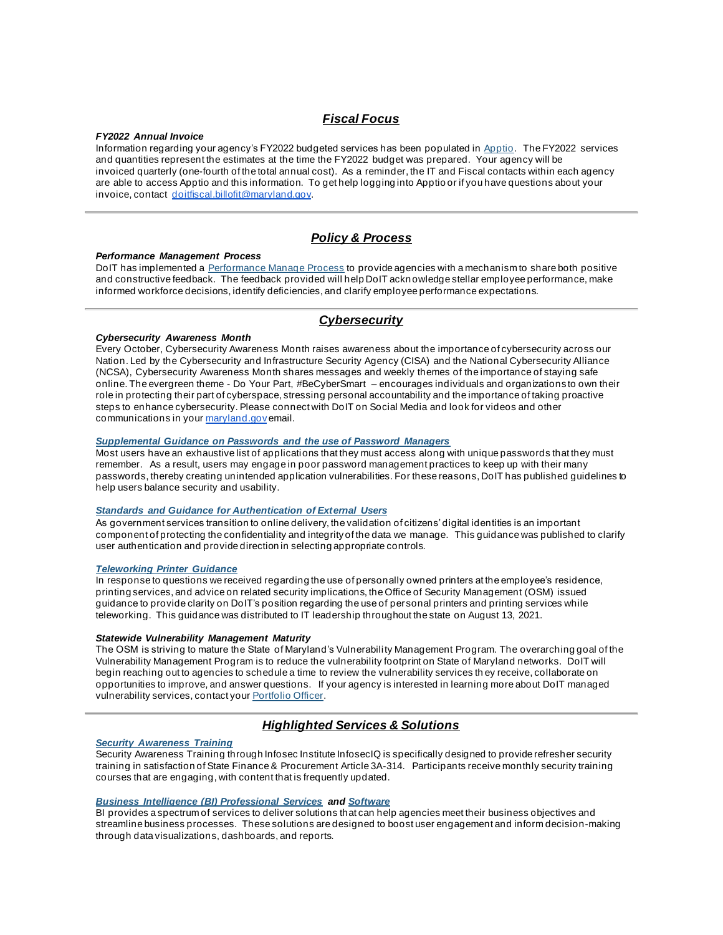# *Fiscal Focus*

### *FY2022 Annual Invoice*

Information regarding your agency's FY2022 budgeted services has been populated in [Apptio](https://lnks.gd/l/eyJhbGciOiJIUzI1NiJ9.eyJidWxsZXRpbl9saW5rX2lkIjoxMDUsInVyaSI6ImJwMjpjbGljayIsImJ1bGxldGluX2lkIjoiMjAyMTA5MjkuNDY2NDk3OTEiLCJ1cmwiOiJodHRwczovL2Zyb250ZG9vci5hcHB0aW8uY29tLyJ9.qf551dbERoZxRWakyNPx6DrJy9ax5EMpAKqxz7qg3A4/s/267717117/br/113089134067-l). The FY2022 services and quantities represent the estimates at the time the FY2022 budget was prepared. Your agency will be invoiced quarterly (one-fourth of the total annual cost). As a reminder, the IT and Fiscal contacts within each agency are able to access Apptio and this information. To get help logging into Apptio or if you have questions about your invoice, contact [doitfiscal.billofit@maryland.gov](mailto:doitfiscal.billofit@maryland.gov).

# *Policy & Process*

#### *Performance Management Process*

DoIT has implemented a [Performance Manage Process](https://lnks.gd/l/eyJhbGciOiJIUzI1NiJ9.eyJidWxsZXRpbl9saW5rX2lkIjoxMDYsInVyaSI6ImJwMjpjbGljayIsImJ1bGxldGluX2lkIjoiMjAyMTA5MjkuNDY2NDk3OTEiLCJ1cmwiOiJodHRwczovL2RvaXQubWFyeWxhbmQuZ292L0RvY3VtZW50cy9Eb0lULVBlcmZvcm1hbmNlLU1hbmFnZW1lbnQtUHJvY2Vzcy5wZGYifQ.XA5ZS2ENDNsetyWOiD_RhK0CBqAAfoB85-VdnxYxk0k/s/267717117/br/113089134067-l) to provide agencies with a mechanism to share both positive and constructive feedback. The feedback provided will help DoIT acknowledge stellar employee performance, make informed workforce decisions, identify deficiencies, and clarify employee performance expectations.

# *Cybersecurity*

### *Cybersecurity Awareness Month*

Every October, Cybersecurity Awareness Month raises awareness about the importance of cybersecurity across our Nation. Led by the Cybersecurity and Infrastructure Security Agency (CISA) and the National Cybersecurity Alliance (NCSA), Cybersecurity Awareness Month shares messages and weekly themes of the importance of staying safe online. The evergreen theme - Do Your Part, #BeCyberSmart – encourages individuals and organizations to own their role in protecting their part of cyberspace, stressing personal accountability and the importance of taking proactive steps to enhance cybersecurity. Please connect with DoIT on Social Media and look for videos and other communications in your [maryland.gov](http://maryland.gov/) email.

### *[Supplemental Guidance on Passwords and the use of Password Managers](https://lnks.gd/l/eyJhbGciOiJIUzI1NiJ9.eyJidWxsZXRpbl9saW5rX2lkIjoxMDcsInVyaSI6ImJwMjpjbGljayIsImJ1bGxldGluX2lkIjoiMjAyMTA5MjkuNDY2NDk3OTEiLCJ1cmwiOiJodHRwczovL2RvaXQubWFyeWxhbmQuZ292L3BvbGljaWVzL0RvY3VtZW50cy9Qb2xpY2llcy9HMjEtMi1QYXNzd29yZC1NYW5hZ2Vycy1hbmQtVXNlLnBkZiJ9.FbUv3LUDK_E5r7pXt57seYvGzKg2vMFECluB-bmYtlM/s/267717117/br/113089134067-l)*

Most users have an exhaustive list of applications that they must access along with unique passwords that they must remember. As a result, users may engage in poor password management practices to keep up with their many passwords, thereby creating unintended application vulnerabilities. For these reasons, DoIT has published guidelines to help users balance security and usability.

### *[Standards and Guidance for Authentication of External Users](https://lnks.gd/l/eyJhbGciOiJIUzI1NiJ9.eyJidWxsZXRpbl9saW5rX2lkIjoxMDgsInVyaSI6ImJwMjpjbGljayIsImJ1bGxldGluX2lkIjoiMjAyMTA5MjkuNDY2NDk3OTEiLCJ1cmwiOiJodHRwczovL2RvaXQubWFyeWxhbmQuZ292L3BvbGljaWVzL0RvY3VtZW50cy9Qb2xpY2llcy9HMjEtMS1FeHRlcm5hbC1Vc2VyLUF1dGhlbnRpY2F0aW9uLnBkZiJ9.5vp9VuuCS6yL1A_ddySlOlVSutA6r6TI_8uqf-lA528/s/267717117/br/113089134067-l)*

As government services transition to online delivery, the validation of citizens' digital identities is an important component of protecting the confidentiality and integrity of the data we manage. This guidance was published to clarify user authentication and provide direction in selecting appropriate controls.

### *[Teleworking Printer Guidance](https://lnks.gd/l/eyJhbGciOiJIUzI1NiJ9.eyJidWxsZXRpbl9saW5rX2lkIjoxMDksInVyaSI6ImJwMjpjbGljayIsImJ1bGxldGluX2lkIjoiMjAyMTA5MjkuNDY2NDk3OTEiLCJ1cmwiOiJodHRwczovL2RvaXQubWFyeWxhbmQuZ292L3BvbGljaWVzL0RvY3VtZW50cy9Qb2xpY2llcy9UZWxld29ya2luZy1QcmludGVyLUd1aWRhbmNlLnBkZiJ9.hhTPW8FrcjZ8oi1L1A-iOkfiaw1d2i_TIN3r7TTnOgo/s/267717117/br/113089134067-l)*

In response to questions we received regarding the use of personally owned printers at the employee's residence, printing services, and advice on related security implications, the Office of Security Management (OSM) issued guidance to provide clarity on DoIT's position regarding the use of personal printers and printing services while teleworking. This guidance was distributed to IT leadership throughout the state on August 13, 2021.

### *Statewide Vulnerability Management Maturity*

The OSM is striving to mature the State of Maryland's Vulnerability Management Program. The overarching goal of the Vulnerability Management Program is to reduce the vulnerability footprint on State of Maryland networks. DoIT will begin reaching out to agencies to schedule a time to review the vulnerability services th ey receive, collaborate on opportunities to improve, and answer questions. If your agency is interested in learning more about DoIT managed vulnerability services, contact your [Portfolio Officer](https://lnks.gd/l/eyJhbGciOiJIUzI1NiJ9.eyJidWxsZXRpbl9saW5rX2lkIjoxMTAsInVyaSI6ImJwMjpjbGljayIsImJ1bGxldGluX2lkIjoiMjAyMTA5MjkuNDY2NDk3OTEiLCJ1cmwiOiJodHRwczovL2RvaXQubWFyeWxhbmQuZ292L3N1cHBvcnQvUGFnZXMvcG9ydGZvbGlvLW9mZmljZXJzLmFzcHgifQ.t984_SM2S1dgGNXURe9EJGA4GFbV3Yg-j_8fD2wLrjA/s/267717117/br/113089134067-l).

# *Highlighted Services & Solutions*

## *[Security Awareness Training](https://lnks.gd/l/eyJhbGciOiJIUzI1NiJ9.eyJidWxsZXRpbl9saW5rX2lkIjoxMTEsInVyaSI6ImJwMjpjbGljayIsImJ1bGxldGluX2lkIjoiMjAyMTA5MjkuNDY2NDk3OTEiLCJ1cmwiOiJodHRwczovL2RvaXQubWFyeWxhbmQuZ292L3N1cHBvcnQvUGFnZXMvc2Nfc2VjdXJpdHlfYXdhcmVuZXNzX3RyYWluaW5nLmFzcHgifQ.HopWf8LP_zzHlHTSC9rRrIg6OLQky69J5H-KVg5EBCg/s/267717117/br/113089134067-l)*

Security Awareness Training through Infosec Institute InfosecIQ is specifically designed to provide refresher security training in satisfaction of State Finance & Procurement Article 3A-314. Participants receive monthly security training courses that are engaging, with content that is frequently updated.

### *[Business Intelligence \(BI\) Professional Services](https://lnks.gd/l/eyJhbGciOiJIUzI1NiJ9.eyJidWxsZXRpbl9saW5rX2lkIjoxMTIsInVyaSI6ImJwMjpjbGljayIsImJ1bGxldGluX2lkIjoiMjAyMTA5MjkuNDY2NDk3OTEiLCJ1cmwiOiJodHRwczovL2RvaXQubWFyeWxhbmQuZ292L3N1cHBvcnQvUGFnZXMvc2NfYXBwX2JpcHMuYXNweCJ9.lwaBwC35XC79CUnwE-VG_N80oImYElWaV6Oc6uKFoIA/s/267717117/br/113089134067-l) and [Software](https://lnks.gd/l/eyJhbGciOiJIUzI1NiJ9.eyJidWxsZXRpbl9saW5rX2lkIjoxMTMsInVyaSI6ImJwMjpjbGljayIsImJ1bGxldGluX2lkIjoiMjAyMTA5MjkuNDY2NDk3OTEiLCJ1cmwiOiJodHRwczovL2RvaXQubWFyeWxhbmQuZ292L3N1cHBvcnQvUGFnZXMvc2NfYXBwX2Jpc29mdHdhcmUuYXNweCJ9.8FLc1EAFaGwlgYxhqknArrnAzXmVC0mbLpmFkgr55IY/s/267717117/br/113089134067-l)*

BI provides a spectrum of services to deliver solutions that can help agencies meet their business objectives and streamline business processes. These solutions are designed to boost user engagement and inform decision-making through data visualizations, dashboards, and reports.